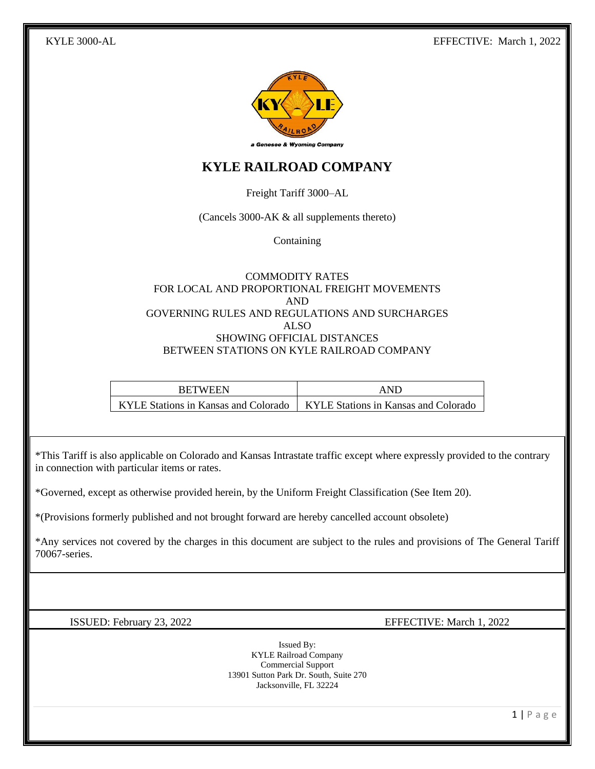

# **KYLE RAILROAD COMPANY**

Freight Tariff 3000–AL

(Cancels 3000-AK & all supplements thereto)

**Containing** 

#### COMMODITY RATES FOR LOCAL AND PROPORTIONAL FREIGHT MOVEMENTS AND GOVERNING RULES AND REGULATIONS AND SURCHARGES ALSO SHOWING OFFICIAL DISTANCES BETWEEN STATIONS ON KYLE RAILROAD COMPANY

| <b>BETWEEN</b>                                                              | <b>AND</b> |
|-----------------------------------------------------------------------------|------------|
| KYLE Stations in Kansas and Colorado   KYLE Stations in Kansas and Colorado |            |

\*This Tariff is also applicable on Colorado and Kansas Intrastate traffic except where expressly provided to the contrary in connection with particular items or rates.

\*Governed, except as otherwise provided herein, by the Uniform Freight Classification (See Item 20).

\*(Provisions formerly published and not brought forward are hereby cancelled account obsolete)

\*Any services not covered by the charges in this document are subject to the rules and provisions of The General Tariff 70067-series.

ISSUED: February 23, 2022 EFFECTIVE: March 1, 2022

Issued By: KYLE Railroad Company Commercial Support 13901 Sutton Park Dr. South, Suite 270 Jacksonville, FL 32224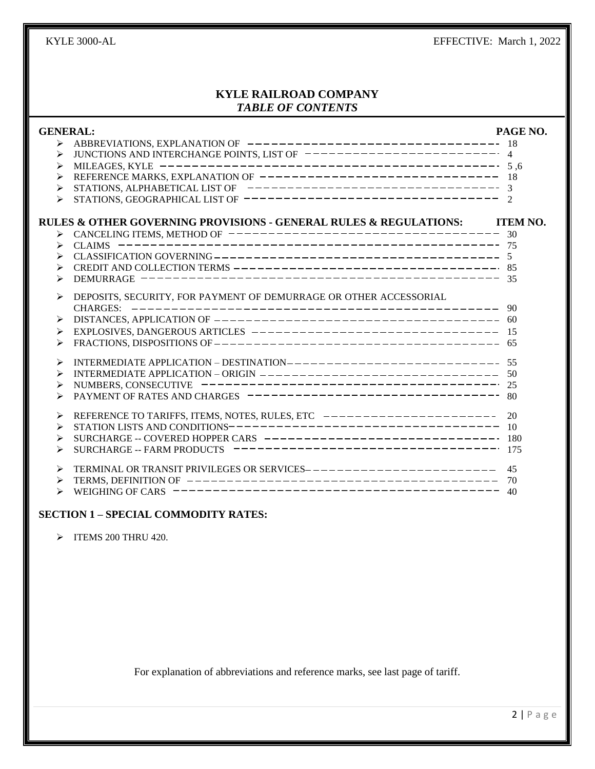### **KYLE RAILROAD COMPANY** *TABLE OF CONTENTS*

| <b>GENERAL:</b>                                                                                             | PAGE NO.       |
|-------------------------------------------------------------------------------------------------------------|----------------|
| $\blacktriangleright$                                                                                       |                |
| ⋗                                                                                                           |                |
| ⋗                                                                                                           |                |
| REFERENCE MARKS, EXPLANATION OF $--------------------------- 18$<br>⋗                                       |                |
| ⋗                                                                                                           |                |
| STATIONS, GEOGRAPHICAL LIST OF ---------------------------------<br>⋗                                       | $\overline{2}$ |
| RULES & OTHER GOVERNING PROVISIONS - GENERAL RULES & REGULATIONS: TTEM NO.                                  |                |
|                                                                                                             |                |
| CANCELING ITEMS, METHOD OF $------------------------------ 30$<br>CLAIMS $------------------------ 75$<br>⋗ |                |
| ⋗                                                                                                           |                |
|                                                                                                             |                |
| ⋗                                                                                                           |                |
| DEPOSITS, SECURITY, FOR PAYMENT OF DEMURRAGE OR OTHER ACCESSORIAL<br>≻                                      |                |
|                                                                                                             | - 90           |
| DISTANCES, APPLICATION OF $------------------------------------------ 60$<br>➤                              |                |
| ⋗                                                                                                           |                |
| FRACTIONS, DISPOSITIONS OF $------------------------------------ 65$                                        |                |
| INTERMEDIATE APPLICATION - DESTINATION---------------------------- 55<br>⋗                                  |                |
| ⋗                                                                                                           |                |
| NUMBERS, CONSECUTIVE $------------------------------------25$<br>⋗                                          |                |
| ↘                                                                                                           |                |
| REFERENCE TO TARIFFS, ITEMS, NOTES, RULES, ETC ----------------------<br>⋗                                  | 20             |
| ⋗                                                                                                           |                |
| SURCHARGE -- COVERED HOPPER CARS --------------------------------- 180<br>⋗                                 |                |
| SURCHARGE -- FARM PRODUCTS -----------------------------------<br>⋗                                         | 175            |
| TERMINAL OR TRANSIT PRIVILEGES OR SERVICES------------------------<br>⋗                                     | 45             |
| ⋗                                                                                                           | 70             |
| ⋗                                                                                                           | 40             |

### **SECTION 1 – SPECIAL COMMODITY RATES:**

➢ ITEMS 200 THRU 420.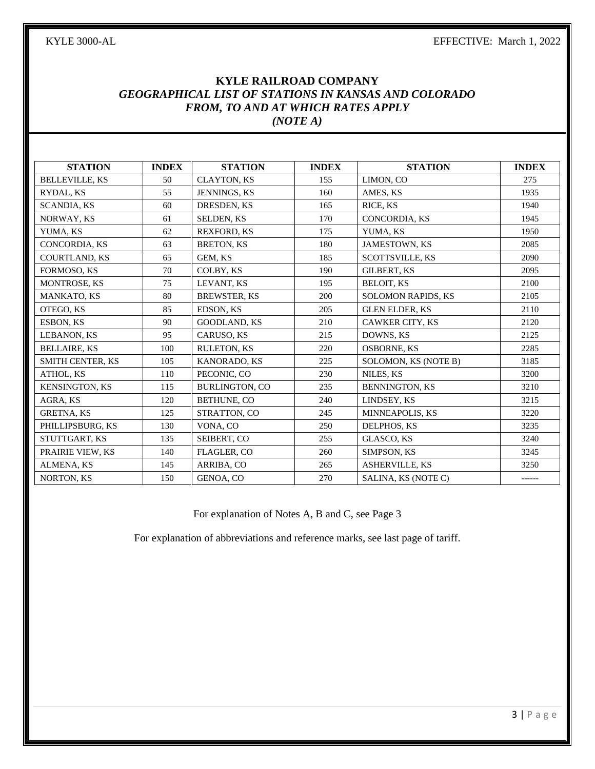# **KYLE RAILROAD COMPANY** *GEOGRAPHICAL LIST OF STATIONS IN KANSAS AND COLORADO FROM, TO AND AT WHICH RATES APPLY (NOTE A)*

| <b>STATION</b>        | <b>INDEX</b> | <b>STATION</b>        | <b>INDEX</b> | <b>STATION</b>            | <b>INDEX</b> |
|-----------------------|--------------|-----------------------|--------------|---------------------------|--------------|
| <b>BELLEVILLE, KS</b> | 50           | <b>CLAYTON, KS</b>    | 155          | LIMON, CO                 | 275          |
| RYDAL, KS             | 55           | <b>JENNINGS, KS</b>   | 160          | AMES, KS                  | 1935         |
| <b>SCANDIA, KS</b>    | 60           | DRESDEN, KS           | 165          | RICE, KS                  | 1940         |
| NORWAY, KS            | 61           | <b>SELDEN, KS</b>     | 170          | CONCORDIA, KS             | 1945         |
| YUMA, KS              | 62           | <b>REXFORD, KS</b>    | 175          | YUMA, KS                  | 1950         |
| CONCORDIA, KS         | 63           | <b>BRETON, KS</b>     | 180          | <b>JAMESTOWN, KS</b>      | 2085         |
| <b>COURTLAND, KS</b>  | 65           | GEM, KS               | 185          | <b>SCOTTSVILLE, KS</b>    | 2090         |
| FORMOSO, KS           | 70           | COLBY, KS             | 190          | <b>GILBERT, KS</b>        | 2095         |
| <b>MONTROSE, KS</b>   | 75           | LEVANT, KS            | 195          | <b>BELOIT, KS</b>         | 2100         |
| <b>MANKATO, KS</b>    | 80           | <b>BREWSTER, KS</b>   | 200          | <b>SOLOMON RAPIDS, KS</b> | 2105         |
| OTEGO, KS             | 85           | EDSON, KS             | 205          | <b>GLEN ELDER, KS</b>     | 2110         |
| ESBON, KS             | 90           | <b>GOODLAND, KS</b>   | 210          | <b>CAWKER CITY, KS</b>    | 2120         |
| LEBANON, KS           | 95           | <b>CARUSO, KS</b>     | 215          | DOWNS, KS                 | 2125         |
| <b>BELLAIRE, KS</b>   | 100          | RULETON, KS           | 220          | <b>OSBORNE, KS</b>        | 2285         |
| SMITH CENTER, KS      | 105          | KANORADO, KS          | 225          | SOLOMON, KS (NOTE B)      | 3185         |
| ATHOL, KS             | 110          | PECONIC, CO           | 230          | NILES, KS                 | 3200         |
| <b>KENSINGTON, KS</b> | 115          | <b>BURLINGTON, CO</b> | 235          | <b>BENNINGTON, KS</b>     | 3210         |
| AGRA, KS              | 120          | BETHUNE, CO           | 240          | LINDSEY, KS               | 3215         |
| <b>GRETNA, KS</b>     | 125          | STRATTON, CO          | 245          | <b>MINNEAPOLIS, KS</b>    | 3220         |
| PHILLIPSBURG, KS      | 130          | VONA, CO              | 250          | DELPHOS, KS               | 3235         |
| STUTTGART, KS         | 135          | SEIBERT, CO           | 255          | GLASCO, KS                | 3240         |
| PRAIRIE VIEW, KS      | 140          | <b>FLAGLER, CO</b>    | 260          | SIMPSON, KS               | 3245         |
| <b>ALMENA, KS</b>     | 145          | ARRIBA, CO            | 265          | <b>ASHERVILLE, KS</b>     | 3250         |
| <b>NORTON, KS</b>     | 150          | GENOA, CO             | 270          | SALINA, KS (NOTE C)       | ------       |

For explanation of Notes A, B and C, see Page 3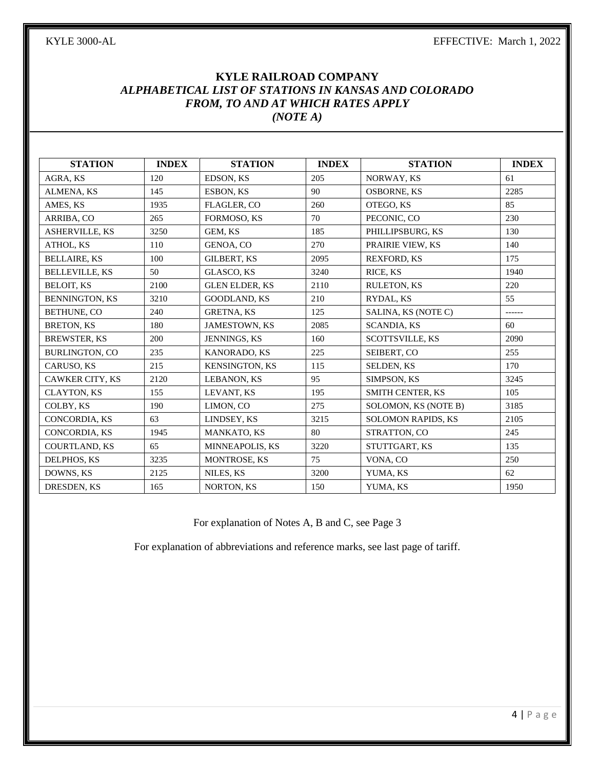# **KYLE RAILROAD COMPANY** *ALPHABETICAL LIST OF STATIONS IN KANSAS AND COLORADO FROM, TO AND AT WHICH RATES APPLY (NOTE A)*

| <b>STATION</b>        | <b>INDEX</b> | <b>STATION</b>        | <b>INDEX</b> | <b>STATION</b>            | <b>INDEX</b> |
|-----------------------|--------------|-----------------------|--------------|---------------------------|--------------|
| AGRA, KS              | 120          | EDSON, KS             | 205          | NORWAY, KS                | 61           |
| ALMENA, KS            | 145          | ESBON, KS             | 90           | <b>OSBORNE, KS</b>        | 2285         |
| AMES, KS              | 1935         | FLAGLER, CO           | 260          | OTEGO, KS                 | 85           |
| <b>ARRIBA, CO</b>     | 265          | <b>FORMOSO, KS</b>    | 70           | PECONIC. CO               | 230          |
| <b>ASHERVILLE, KS</b> | 3250         | GEM. KS               | 185          | PHILLIPSBURG, KS          | 130          |
| <b>ATHOL, KS</b>      | 110          | <b>GENOA, CO</b>      | 270          | PRAIRIE VIEW, KS          | 140          |
| <b>BELLAIRE, KS</b>   | 100          | <b>GILBERT, KS</b>    | 2095         | <b>REXFORD, KS</b>        | 175          |
| <b>BELLEVILLE, KS</b> | 50           | GLASCO, KS            | 3240         | RICE, KS                  | 1940         |
| <b>BELOIT, KS</b>     | 2100         | <b>GLEN ELDER, KS</b> | 2110         | <b>RULETON, KS</b>        | 220          |
| <b>BENNINGTON, KS</b> | 3210         | <b>GOODLAND, KS</b>   | 210          | RYDAL, KS                 | 55           |
| BETHUNE, CO           | 240          | <b>GRETNA, KS</b>     | 125          | SALINA, KS (NOTE C)       | ------       |
| <b>BRETON, KS</b>     | 180          | JAMESTOWN, KS         | 2085         | <b>SCANDIA, KS</b>        | 60           |
| <b>BREWSTER, KS</b>   | 200          | JENNINGS, KS          | 160          | SCOTTSVILLE, KS           | 2090         |
| <b>BURLINGTON, CO</b> | 235          | <b>KANORADO, KS</b>   | 225          | SEIBERT, CO               | 255          |
| <b>CARUSO, KS</b>     | 215          | <b>KENSINGTON, KS</b> | 115          | <b>SELDEN, KS</b>         | 170          |
| CAWKER CITY, KS       | 2120         | LEBANON, KS           | 95           | SIMPSON, KS               | 3245         |
| <b>CLAYTON, KS</b>    | 155          | LEVANT, KS            | 195          | <b>SMITH CENTER, KS</b>   | 105          |
| COLBY, KS             | 190          | LIMON, CO             | 275          | SOLOMON, KS (NOTE B)      | 3185         |
| <b>CONCORDIA, KS</b>  | 63           | LINDSEY, KS           | 3215         | <b>SOLOMON RAPIDS, KS</b> | 2105         |
| <b>CONCORDIA, KS</b>  | 1945         | <b>MANKATO, KS</b>    | 80           | STRATTON, CO              | 245          |
| <b>COURTLAND, KS</b>  | 65           | MINNEAPOLIS, KS       | 3220         | STUTTGART, KS             | 135          |
| DELPHOS, KS           | 3235         | <b>MONTROSE, KS</b>   | 75           | VONA, CO                  | 250          |
| DOWNS, KS             | 2125         | NILES, KS             | 3200         | YUMA, KS                  | 62           |
| DRESDEN, KS           | 165          | <b>NORTON, KS</b>     | 150          | YUMA, KS                  | 1950         |

For explanation of Notes A, B and C, see Page 3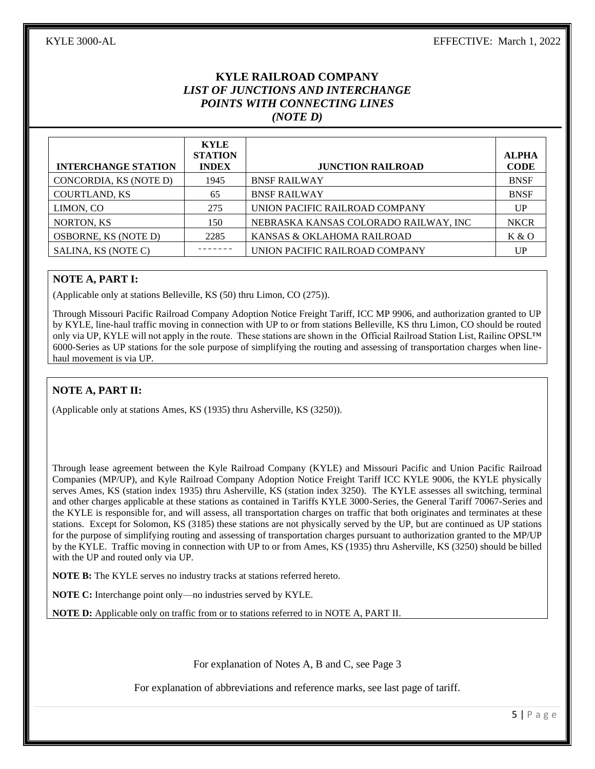# **KYLE RAILROAD COMPANY** *LIST OF JUNCTIONS AND INTERCHANGE POINTS WITH CONNECTING LINES (NOTE D)*

| <b>INTERCHANGE STATION</b>  | <b>KYLE</b><br><b>STATION</b><br><b>INDEX</b> | <b>JUNCTION RAILROAD</b>              | <b>ALPHA</b><br><b>CODE</b> |
|-----------------------------|-----------------------------------------------|---------------------------------------|-----------------------------|
| CONCORDIA, KS (NOTE D)      | 1945                                          | <b>BNSF RAILWAY</b>                   | <b>BNSF</b>                 |
| <b>COURTLAND, KS</b>        | 65                                            | <b>BNSF RAILWAY</b>                   | <b>BNSF</b>                 |
| LIMON, CO                   | 275                                           | UNION PACIFIC RAILROAD COMPANY        | UP                          |
| NORTON, KS                  | 150                                           | NEBRASKA KANSAS COLORADO RAILWAY, INC | <b>NKCR</b>                 |
| <b>OSBORNE, KS (NOTE D)</b> | 2285                                          | KANSAS & OKLAHOMA RAILROAD            | K & O                       |
| SALINA, KS (NOTE C)         |                                               | UNION PACIFIC RAILROAD COMPANY        | UP                          |

#### **NOTE A, PART I:**

(Applicable only at stations Belleville, KS (50) thru Limon, CO (275)).

Through Missouri Pacific Railroad Company Adoption Notice Freight Tariff, ICC MP 9906, and authorization granted to UP by KYLE, line-haul traffic moving in connection with UP to or from stations Belleville, KS thru Limon, CO should be routed only via UP, KYLE will not apply in the route. These stations are shown in the Official Railroad Station List, Railinc OPSL™ 6000-Series as UP stations for the sole purpose of simplifying the routing and assessing of transportation charges when linehaul movement is via UP.

#### **NOTE A, PART II:**

(Applicable only at stations Ames, KS (1935) thru Asherville, KS (3250)).

Through lease agreement between the Kyle Railroad Company (KYLE) and Missouri Pacific and Union Pacific Railroad Companies (MP/UP), and Kyle Railroad Company Adoption Notice Freight Tariff ICC KYLE 9006, the KYLE physically serves Ames, KS (station index 1935) thru Asherville, KS (station index 3250). The KYLE assesses all switching, terminal and other charges applicable at these stations as contained in Tariffs KYLE 3000-Series, the General Tariff 70067-Series and the KYLE is responsible for, and will assess, all transportation charges on traffic that both originates and terminates at these stations. Except for Solomon, KS (3185) these stations are not physically served by the UP, but are continued as UP stations for the purpose of simplifying routing and assessing of transportation charges pursuant to authorization granted to the MP/UP by the KYLE. Traffic moving in connection with UP to or from Ames, KS (1935) thru Asherville, KS (3250) should be billed with the UP and routed only via UP.

**NOTE B:** The KYLE serves no industry tracks at stations referred hereto.

**NOTE C:** Interchange point only—no industries served by KYLE.

**NOTE D:** Applicable only on traffic from or to stations referred to in NOTE A, PART II.

For explanation of Notes A, B and C, see Page 3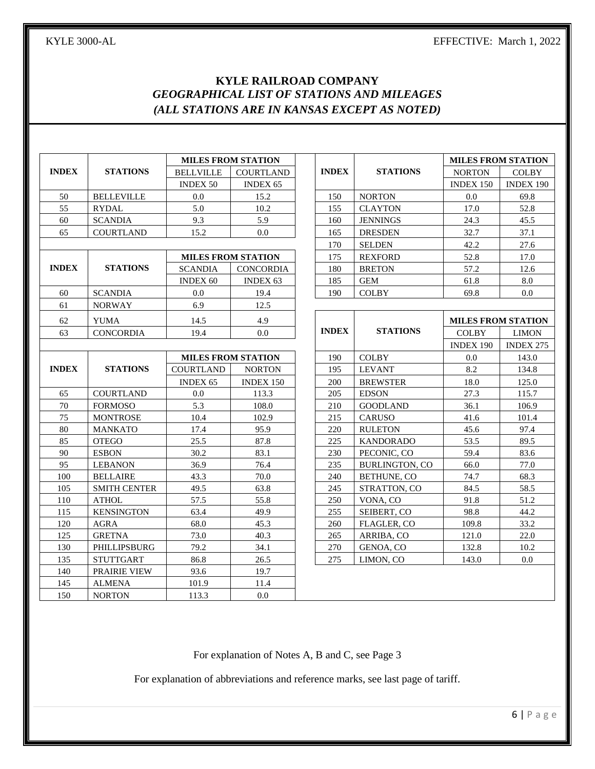# **KYLE RAILROAD COMPANY** *GEOGRAPHICAL LIST OF STATIONS AND MILEAGES (ALL STATIONS ARE IN KANSAS EXCEPT AS NOTED)*

|              |                     | <b>MILES FROM STATION</b> |                           |              |                       | <b>MILES FROM STATION</b> |                  |
|--------------|---------------------|---------------------------|---------------------------|--------------|-----------------------|---------------------------|------------------|
| <b>INDEX</b> | <b>STATIONS</b>     | <b>BELLVILLE</b>          | COURTLAND                 | <b>INDEX</b> | <b>STATIONS</b>       | <b>NORTON</b>             | <b>COLBY</b>     |
|              |                     | <b>INDEX 50</b>           | <b>INDEX 65</b>           |              |                       | <b>INDEX 150</b>          | <b>INDEX 190</b> |
| 50           | <b>BELLEVILLE</b>   | 0.0                       | 15.2                      | 150          | <b>NORTON</b>         | 0.0                       | 69.8             |
| 55           | <b>RYDAL</b>        | 5.0                       | 10.2                      | 155          | <b>CLAYTON</b>        | 17.0                      | 52.8             |
| 60           | <b>SCANDIA</b>      | 9.3                       | 5.9                       | 160          | <b>JENNINGS</b>       | 24.3                      | 45.5             |
| 65           | <b>COURTLAND</b>    | 15.2                      | 0.0 <sub>1</sub>          | 165          | <b>DRESDEN</b>        | 32.7                      | 37.1             |
|              |                     | 170                       | <b>SELDEN</b>             | 42.2         | 27.6                  |                           |                  |
|              |                     |                           | <b>MILES FROM STATION</b> | 175          | <b>REXFORD</b>        | 52.8                      | 17.0             |
| <b>INDEX</b> | <b>STATIONS</b>     | <b>SCANDIA</b>            | CONCORDIA                 | 180          | <b>BRETON</b>         | 57.2                      | 12.6             |
|              |                     | <b>INDEX 60</b>           | <b>INDEX 63</b>           | 185          | <b>GEM</b>            | 61.8                      | 8.0              |
| 60           | <b>SCANDIA</b>      | 0.0                       | 19.4                      | 190          | <b>COLBY</b>          | 69.8                      | 0.0              |
| 61           | <b>NORWAY</b>       | 6.9                       | 12.5                      |              |                       |                           |                  |
| 62           | <b>YUMA</b>         | 14.5                      | 4.9                       |              |                       | <b>MILES FROM STATION</b> |                  |
| 63           | <b>CONCORDIA</b>    | 19.4                      | $0.0\,$                   | <b>INDEX</b> | <b>STATIONS</b>       | <b>COLBY</b>              | <b>LIMON</b>     |
|              |                     |                           |                           |              |                       | <b>INDEX 190</b>          | <b>INDEX 275</b> |
|              |                     |                           | <b>MILES FROM STATION</b> | 190          | <b>COLBY</b>          | 0.0                       | 143.0            |
| <b>INDEX</b> | <b>STATIONS</b>     | <b>COURTLAND</b>          | <b>NORTON</b>             | 195          | <b>LEVANT</b>         | 8.2                       | 134.8            |
|              |                     | <b>INDEX 65</b>           | INDEX 150                 | 200          | <b>BREWSTER</b>       | 18.0                      | 125.0            |
| 65           | <b>COURTLAND</b>    | 0.0                       | 113.3                     | 205          | <b>EDSON</b>          | 27.3                      | 115.7            |
| 70           | <b>FORMOSO</b>      | 5.3                       | 108.0                     | 210          | <b>GOODLAND</b>       | 36.1                      | 106.9            |
| 75           | <b>MONTROSE</b>     | 10.4                      | 102.9                     | 215          | <b>CARUSO</b>         | 41.6                      | 101.4            |
| 80           | <b>MANKATO</b>      | 17.4                      | 95.9                      | 220          | <b>RULETON</b>        | 45.6                      | 97.4             |
| 85           | <b>OTEGO</b>        | 25.5                      | 87.8                      | 225          | <b>KANDORADO</b>      | 53.5                      | 89.5             |
| 90           | <b>ESBON</b>        | 30.2                      | 83.1                      | 230          | PECONIC, CO           | 59.4                      | 83.6             |
| 95           | <b>LEBANON</b>      | 36.9                      | 76.4                      | 235          | <b>BURLINGTON, CO</b> | 66.0                      | 77.0             |
| 100          | <b>BELLAIRE</b>     | 43.3                      | 70.0                      | 240          | BETHUNE, CO           | 74.7                      | 68.3             |
| 105          | <b>SMITH CENTER</b> | 49.5                      | 63.8                      | 245          | STRATTON, CO          | 84.5                      | 58.5             |
| 110          | <b>ATHOL</b>        | 57.5                      | 55.8                      | 250          | VONA, CO              | 91.8                      | 51.2             |
| 115          | <b>KENSINGTON</b>   | 63.4                      | 49.9                      | 255          | SEIBERT, CO           | 98.8                      | 44.2             |
| 120          | <b>AGRA</b>         | 68.0                      | 45.3                      | 260          | FLAGLER, CO           | 109.8                     | 33.2             |
| 125          | <b>GRETNA</b>       | 73.0                      | 40.3                      | 265          | ARRIBA, CO            | 121.0                     | 22.0             |
| 130          | PHILLIPSBURG        | 79.2                      | 34.1                      | 270          | GENOA, CO             | 132.8                     | 10.2             |
| 135          | <b>STUTTGART</b>    | 86.8                      | 26.5                      | 275          | LIMON. CO             | 143.0                     | 0.0              |
| 140          | <b>PRAIRIE VIEW</b> | 93.6                      | 19.7                      |              |                       |                           |                  |
| 145          | <b>ALMENA</b>       | 101.9                     | 11.4                      |              |                       |                           |                  |
| 150          | <b>NORTON</b>       | 113.3                     | 0.0                       |              |                       |                           |                  |

For explanation of Notes A, B and C, see Page 3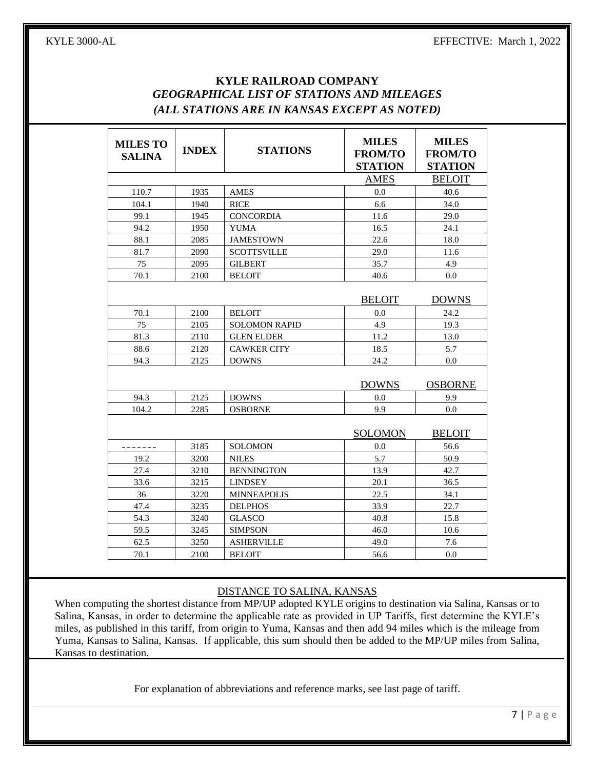# **KYLE RAILROAD COMPANY** *GEOGRAPHICAL LIST OF STATIONS AND MILEAGES (ALL STATIONS ARE IN KANSAS EXCEPT AS NOTED)*

| <b>MILES TO</b><br><b>SALINA</b> | <b>INDEX</b> | <b>STATIONS</b>      | <b>MILES</b><br><b>FROM/TO</b><br><b>STATION</b> | <b>MILES</b><br><b>FROM/TO</b><br><b>STATION</b> |
|----------------------------------|--------------|----------------------|--------------------------------------------------|--------------------------------------------------|
|                                  |              |                      | <b>AMES</b>                                      | <b>BELOIT</b>                                    |
| 110.7                            | 1935         | <b>AMES</b>          | 0.0                                              | 40.6                                             |
| 104.1                            | 1940         | <b>RICE</b>          | 6.6                                              | 34.0                                             |
| 99.1                             | 1945         | <b>CONCORDIA</b>     | 11.6                                             | 29.0                                             |
| 94.2                             | 1950         | <b>YUMA</b>          | 16.5                                             | 24.1                                             |
| 88.1                             | 2085         | <b>JAMESTOWN</b>     | 22.6                                             | 18.0                                             |
| 81.7                             | 2090         | <b>SCOTTSVILLE</b>   | 29.0                                             | 11.6                                             |
| 75                               | 2095         | <b>GILBERT</b>       | 35.7                                             | 4.9                                              |
| 70.1                             | 2100         | <b>BELOIT</b>        | 40.6                                             | 0.0                                              |
|                                  |              |                      | <b>BELOIT</b>                                    | <b>DOWNS</b>                                     |
| 70.1                             | 2100         | <b>BELOIT</b>        | 0.0                                              | 24.2                                             |
| 75                               | 2105         | <b>SOLOMON RAPID</b> | 4.9                                              | 19.3                                             |
| 81.3                             | 2110         | <b>GLEN ELDER</b>    | 11.2                                             | 13.0                                             |
| 88.6                             | 2120         | <b>CAWKER CITY</b>   | 18.5                                             | 5.7                                              |
| 94.3                             | 2125         | <b>DOWNS</b>         | 24.2                                             | 0.0                                              |
|                                  |              |                      | <b>DOWNS</b>                                     | <b>OSBORNE</b>                                   |
| 94.3                             | 2125         | <b>DOWNS</b>         | 0.0                                              | 9.9                                              |
| 104.2                            | 2285         | <b>OSBORNE</b>       | 9.9                                              | 0.0                                              |
|                                  |              |                      | <b>SOLOMON</b>                                   | <b>BELOIT</b>                                    |
| -------                          | 3185         | <b>SOLOMON</b>       | 0.0                                              | 56.6                                             |
| 19.2                             | 3200         | <b>NILES</b>         | 5.7                                              | 50.9                                             |
| 27.4                             | 3210         | <b>BENNINGTON</b>    | 13.9                                             | 42.7                                             |
| 33.6                             | 3215         | <b>LINDSEY</b>       | 20.1                                             | 36.5                                             |
| 36                               | 3220         | <b>MINNEAPOLIS</b>   | 22.5                                             | 34.1                                             |
| 47.4                             | 3235         | <b>DELPHOS</b>       | 33.9                                             | 22.7                                             |
| 54.3                             | 3240         | <b>GLASCO</b>        | 40.8                                             | 15.8                                             |
| 59.5                             | 3245         | <b>SIMPSON</b>       | 46.0                                             | 10.6                                             |
| 62.5                             | 3250         | <b>ASHERVILLE</b>    | 49.0                                             | 7.6                                              |
| 70.1                             | 2100         | <b>BELOIT</b>        | 56.6                                             | 0.0                                              |

#### DISTANCE TO SALINA, KANSAS

When computing the shortest distance from MP/UP adopted KYLE origins to destination via Salina, Kansas or to Salina, Kansas, in order to determine the applicable rate as provided in UP Tariffs, first determine the KYLE's miles, as published in this tariff, from origin to Yuma, Kansas and then add 94 miles which is the mileage from Yuma, Kansas to Salina, Kansas. If applicable, this sum should then be added to the MP/UP miles from Salina, Kansas to destination.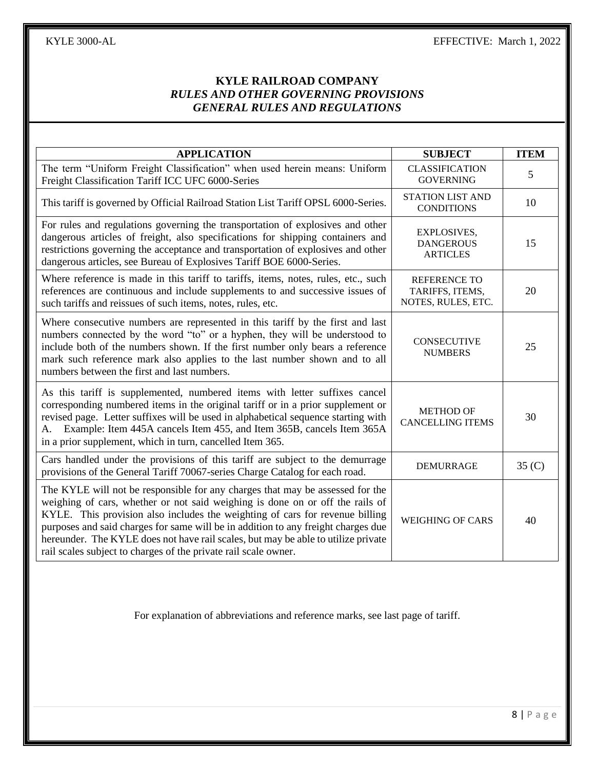| <b>APPLICATION</b>                                                                                                                                                                                                                                                                                                                                                                                                                                                                          | <b>SUBJECT</b>                                               | <b>ITEM</b>       |
|---------------------------------------------------------------------------------------------------------------------------------------------------------------------------------------------------------------------------------------------------------------------------------------------------------------------------------------------------------------------------------------------------------------------------------------------------------------------------------------------|--------------------------------------------------------------|-------------------|
| The term "Uniform Freight Classification" when used herein means: Uniform<br>Freight Classification Tariff ICC UFC 6000-Series                                                                                                                                                                                                                                                                                                                                                              | <b>CLASSIFICATION</b><br><b>GOVERNING</b>                    | 5                 |
| This tariff is governed by Official Railroad Station List Tariff OPSL 6000-Series.                                                                                                                                                                                                                                                                                                                                                                                                          | <b>STATION LIST AND</b><br><b>CONDITIONS</b>                 | 10                |
| For rules and regulations governing the transportation of explosives and other<br>dangerous articles of freight, also specifications for shipping containers and<br>restrictions governing the acceptance and transportation of explosives and other<br>dangerous articles, see Bureau of Explosives Tariff BOE 6000-Series.                                                                                                                                                                | <b>EXPLOSIVES,</b><br><b>DANGEROUS</b><br><b>ARTICLES</b>    | 15                |
| Where reference is made in this tariff to tariffs, items, notes, rules, etc., such<br>references are continuous and include supplements to and successive issues of<br>such tariffs and reissues of such items, notes, rules, etc.                                                                                                                                                                                                                                                          | <b>REFERENCE TO</b><br>TARIFFS, ITEMS,<br>NOTES, RULES, ETC. | 20                |
| Where consecutive numbers are represented in this tariff by the first and last<br>numbers connected by the word "to" or a hyphen, they will be understood to<br>include both of the numbers shown. If the first number only bears a reference<br>mark such reference mark also applies to the last number shown and to all<br>numbers between the first and last numbers.                                                                                                                   | <b>CONSECUTIVE</b><br><b>NUMBERS</b>                         | 25                |
| As this tariff is supplemented, numbered items with letter suffixes cancel<br>corresponding numbered items in the original tariff or in a prior supplement or<br>revised page. Letter suffixes will be used in alphabetical sequence starting with<br>A. Example: Item 445A cancels Item 455, and Item 365B, cancels Item 365A<br>in a prior supplement, which in turn, cancelled Item 365.                                                                                                 | <b>METHOD OF</b><br><b>CANCELLING ITEMS</b>                  | 30                |
| Cars handled under the provisions of this tariff are subject to the demurrage<br>provisions of the General Tariff 70067-series Charge Catalog for each road.                                                                                                                                                                                                                                                                                                                                | <b>DEMURRAGE</b>                                             | 35 <sub>(C)</sub> |
| The KYLE will not be responsible for any charges that may be assessed for the<br>weighing of cars, whether or not said weighing is done on or off the rails of<br>KYLE. This provision also includes the weighting of cars for revenue billing<br>purposes and said charges for same will be in addition to any freight charges due<br>hereunder. The KYLE does not have rail scales, but may be able to utilize private<br>rail scales subject to charges of the private rail scale owner. | <b>WEIGHING OF CARS</b>                                      | 40                |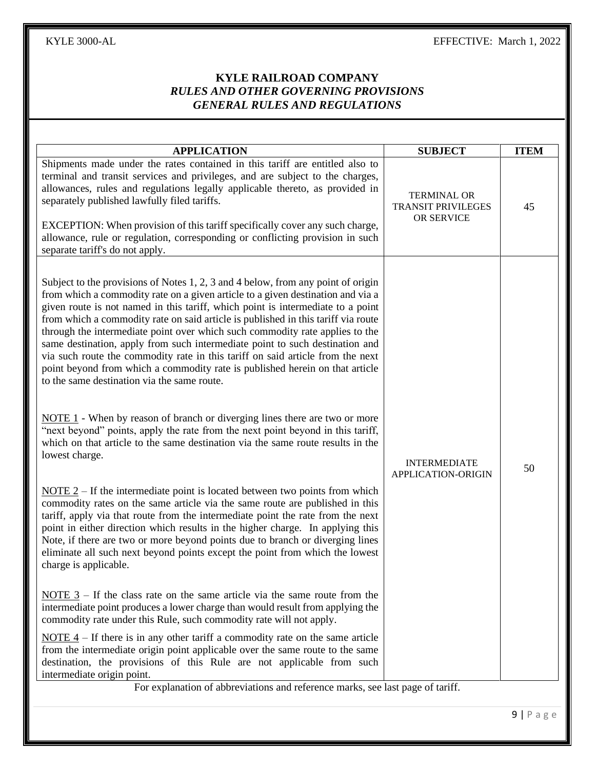|                                                                                                                                                                                                                                                                                                                                                                                                                                                                                                                                                                                                                                                                                                                              | <b>SUBJECT</b>                                                | <b>ITEM</b> |
|------------------------------------------------------------------------------------------------------------------------------------------------------------------------------------------------------------------------------------------------------------------------------------------------------------------------------------------------------------------------------------------------------------------------------------------------------------------------------------------------------------------------------------------------------------------------------------------------------------------------------------------------------------------------------------------------------------------------------|---------------------------------------------------------------|-------------|
| <b>APPLICATION</b><br>Shipments made under the rates contained in this tariff are entitled also to<br>terminal and transit services and privileges, and are subject to the charges,<br>allowances, rules and regulations legally applicable thereto, as provided in<br>separately published lawfully filed tariffs.<br>EXCEPTION: When provision of this tariff specifically cover any such charge,<br>allowance, rule or regulation, corresponding or conflicting provision in such<br>separate tariff's do not apply.                                                                                                                                                                                                      | <b>TERMINAL OR</b><br><b>TRANSIT PRIVILEGES</b><br>OR SERVICE | 45          |
| Subject to the provisions of Notes 1, 2, 3 and 4 below, from any point of origin<br>from which a commodity rate on a given article to a given destination and via a<br>given route is not named in this tariff, which point is intermediate to a point<br>from which a commodity rate on said article is published in this tariff via route<br>through the intermediate point over which such commodity rate applies to the<br>same destination, apply from such intermediate point to such destination and<br>via such route the commodity rate in this tariff on said article from the next<br>point beyond from which a commodity rate is published herein on that article<br>to the same destination via the same route. |                                                               |             |
| <b>NOTE 1</b> - When by reason of branch or diverging lines there are two or more<br>"next beyond" points, apply the rate from the next point beyond in this tariff,<br>which on that article to the same destination via the same route results in the<br>lowest charge.                                                                                                                                                                                                                                                                                                                                                                                                                                                    | <b>INTERMEDIATE</b><br>APPLICATION-ORIGIN                     | 50          |
| $NOTE 2 – If the intermediate point is located between two points from which$<br>commodity rates on the same article via the same route are published in this<br>tariff, apply via that route from the intermediate point the rate from the next<br>point in either direction which results in the higher charge. In applying this<br>Note, if there are two or more beyond points due to branch or diverging lines<br>eliminate all such next beyond points except the point from which the lowest<br>charge is applicable.                                                                                                                                                                                                 |                                                               |             |
| <u>NOTE</u> $3$ – If the class rate on the same article via the same route from the<br>intermediate point produces a lower charge than would result from applying the<br>commodity rate under this Rule, such commodity rate will not apply.                                                                                                                                                                                                                                                                                                                                                                                                                                                                                 |                                                               |             |
| <u>NOTE 4</u> – If there is in any other tariff a commodity rate on the same article<br>from the intermediate origin point applicable over the same route to the same<br>destination, the provisions of this Rule are not applicable from such<br>intermediate origin point.                                                                                                                                                                                                                                                                                                                                                                                                                                                 |                                                               |             |
| For explanation of abbreviations and reference marks, see last page of tariff.                                                                                                                                                                                                                                                                                                                                                                                                                                                                                                                                                                                                                                               |                                                               |             |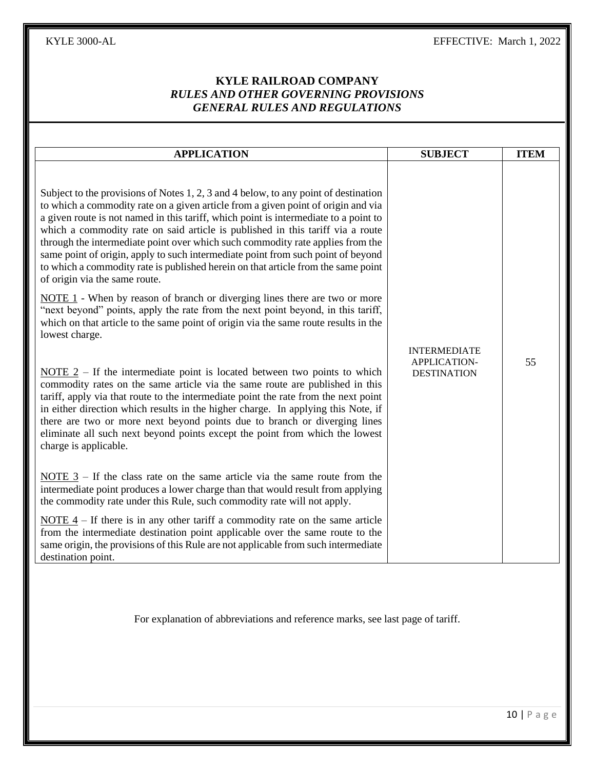| <b>APPLICATION</b>                                                                                                                                                                                                                                                                                                                                                                                                                                                                                                                                                                                                                                                                                                                                                                                                                                                                                                                                                                                                                                                                                                                                                                                                                                                                                                                                                                                                                                                  | <b>SUBJECT</b>                                                   | <b>ITEM</b> |
|---------------------------------------------------------------------------------------------------------------------------------------------------------------------------------------------------------------------------------------------------------------------------------------------------------------------------------------------------------------------------------------------------------------------------------------------------------------------------------------------------------------------------------------------------------------------------------------------------------------------------------------------------------------------------------------------------------------------------------------------------------------------------------------------------------------------------------------------------------------------------------------------------------------------------------------------------------------------------------------------------------------------------------------------------------------------------------------------------------------------------------------------------------------------------------------------------------------------------------------------------------------------------------------------------------------------------------------------------------------------------------------------------------------------------------------------------------------------|------------------------------------------------------------------|-------------|
| Subject to the provisions of Notes 1, 2, 3 and 4 below, to any point of destination<br>to which a commodity rate on a given article from a given point of origin and via<br>a given route is not named in this tariff, which point is intermediate to a point to<br>which a commodity rate on said article is published in this tariff via a route<br>through the intermediate point over which such commodity rate applies from the<br>same point of origin, apply to such intermediate point from such point of beyond<br>to which a commodity rate is published herein on that article from the same point<br>of origin via the same route.<br>NOTE $1$ - When by reason of branch or diverging lines there are two or more<br>"next beyond" points, apply the rate from the next point beyond, in this tariff,<br>which on that article to the same point of origin via the same route results in the<br>lowest charge.<br><u>NOTE</u> $2$ – If the intermediate point is located between two points to which<br>commodity rates on the same article via the same route are published in this<br>tariff, apply via that route to the intermediate point the rate from the next point<br>in either direction which results in the higher charge. In applying this Note, if<br>there are two or more next beyond points due to branch or diverging lines<br>eliminate all such next beyond points except the point from which the lowest<br>charge is applicable. | <b>INTERMEDIATE</b><br><b>APPLICATION-</b><br><b>DESTINATION</b> | 55          |
| <u>NOTE</u> $3$ – If the class rate on the same article via the same route from the<br>intermediate point produces a lower charge than that would result from applying<br>the commodity rate under this Rule, such commodity rate will not apply.<br><u>NOTE 4</u> – If there is in any other tariff a commodity rate on the same article                                                                                                                                                                                                                                                                                                                                                                                                                                                                                                                                                                                                                                                                                                                                                                                                                                                                                                                                                                                                                                                                                                                           |                                                                  |             |
| from the intermediate destination point applicable over the same route to the<br>same origin, the provisions of this Rule are not applicable from such intermediate<br>destination point.                                                                                                                                                                                                                                                                                                                                                                                                                                                                                                                                                                                                                                                                                                                                                                                                                                                                                                                                                                                                                                                                                                                                                                                                                                                                           |                                                                  |             |
| For explanation of abbreviations and reference marks, see last page of tariff.                                                                                                                                                                                                                                                                                                                                                                                                                                                                                                                                                                                                                                                                                                                                                                                                                                                                                                                                                                                                                                                                                                                                                                                                                                                                                                                                                                                      |                                                                  |             |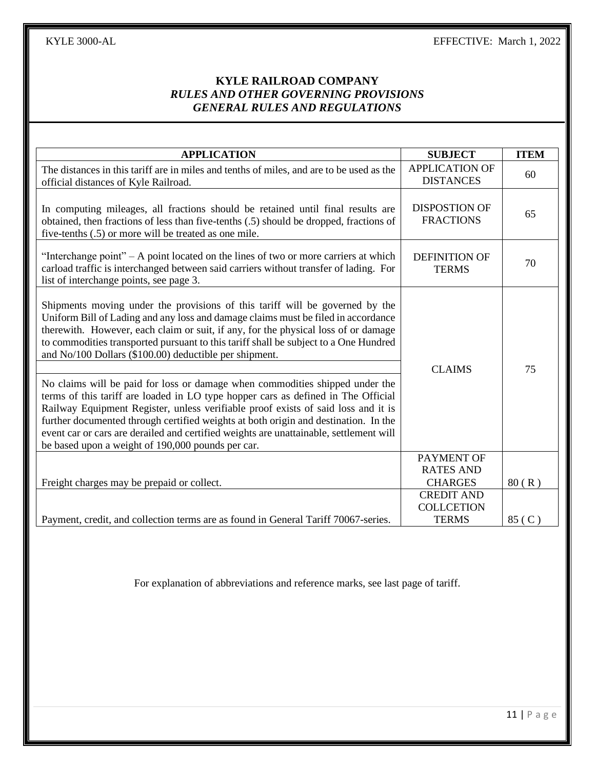| <b>APPLICATION</b>                                                                                                                                                                                                                                                                                                                                                                                                                                                                           | <b>SUBJECT</b>                            | <b>ITEM</b> |
|----------------------------------------------------------------------------------------------------------------------------------------------------------------------------------------------------------------------------------------------------------------------------------------------------------------------------------------------------------------------------------------------------------------------------------------------------------------------------------------------|-------------------------------------------|-------------|
| The distances in this tariff are in miles and tenths of miles, and are to be used as the<br>official distances of Kyle Railroad.                                                                                                                                                                                                                                                                                                                                                             | <b>APPLICATION OF</b><br><b>DISTANCES</b> | 60          |
| In computing mileages, all fractions should be retained until final results are<br>obtained, then fractions of less than five-tenths (.5) should be dropped, fractions of<br>five-tenths (.5) or more will be treated as one mile.                                                                                                                                                                                                                                                           | <b>DISPOSTION OF</b><br><b>FRACTIONS</b>  | 65          |
| "Interchange point" $- A$ point located on the lines of two or more carriers at which<br>carload traffic is interchanged between said carriers without transfer of lading. For<br>list of interchange points, see page 3.                                                                                                                                                                                                                                                                    | <b>DEFINITION OF</b><br><b>TERMS</b>      | 70          |
| Shipments moving under the provisions of this tariff will be governed by the<br>Uniform Bill of Lading and any loss and damage claims must be filed in accordance<br>therewith. However, each claim or suit, if any, for the physical loss of or damage<br>to commodities transported pursuant to this tariff shall be subject to a One Hundred<br>and No/100 Dollars (\$100.00) deductible per shipment.                                                                                    |                                           |             |
| No claims will be paid for loss or damage when commodities shipped under the<br>terms of this tariff are loaded in LO type hopper cars as defined in The Official<br>Railway Equipment Register, unless verifiable proof exists of said loss and it is<br>further documented through certified weights at both origin and destination. In the<br>event car or cars are derailed and certified weights are unattainable, settlement will<br>be based upon a weight of 190,000 pounds per car. | <b>CLAIMS</b>                             | 75          |
|                                                                                                                                                                                                                                                                                                                                                                                                                                                                                              | PAYMENT OF<br><b>RATES AND</b>            |             |
| Freight charges may be prepaid or collect.                                                                                                                                                                                                                                                                                                                                                                                                                                                   | <b>CHARGES</b>                            | 80(R)       |
|                                                                                                                                                                                                                                                                                                                                                                                                                                                                                              | <b>CREDIT AND</b><br><b>COLLCETION</b>    |             |
| Payment, credit, and collection terms are as found in General Tariff 70067-series.                                                                                                                                                                                                                                                                                                                                                                                                           | <b>TERMS</b>                              | 85 (C)      |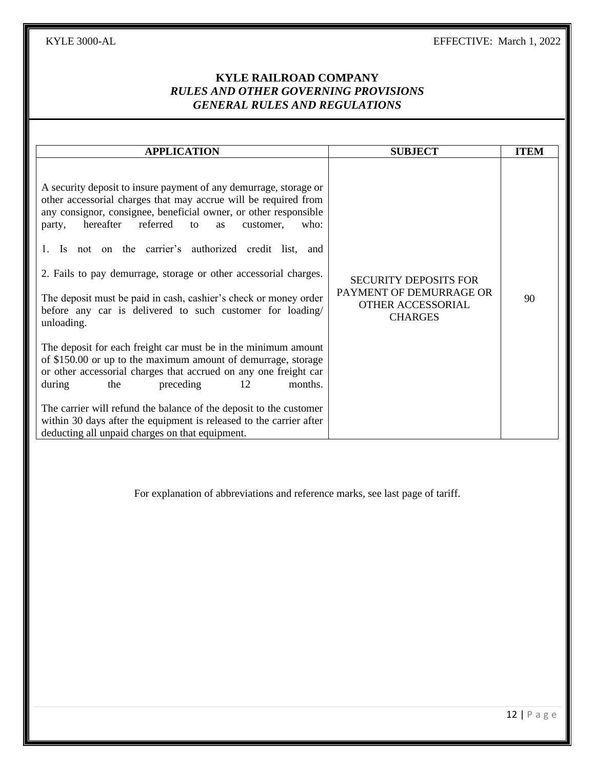# **KYLE RAILROAD COMPANY** *RULES AND OTHER GOVERNING PROVISIONS GENERAL RULES AND REGULATIONS*

| <b>APPLICATION</b><br>A security deposit to insure payment of any demurrage, storage or<br>other accessorial charges that may accrue will be required from<br>any consignor, consignee, beneficial owner, or other responsible<br>hereafter<br>referred<br>to<br>customer,<br>who:<br>party,<br>as                                                                                                                                                 | <b>SUBJECT</b>                                                                                 | <b>ITEM</b> |
|----------------------------------------------------------------------------------------------------------------------------------------------------------------------------------------------------------------------------------------------------------------------------------------------------------------------------------------------------------------------------------------------------------------------------------------------------|------------------------------------------------------------------------------------------------|-------------|
| Is not on the carrier's authorized credit list, and<br>2. Fails to pay demurrage, storage or other accessorial charges.<br>The deposit must be paid in cash, cashier's check or money order<br>before any car is delivered to such customer for loading/<br>unloading.                                                                                                                                                                             | <b>SECURITY DEPOSITS FOR</b><br>PAYMENT OF DEMURRAGE OR<br>OTHER ACCESSORIAL<br><b>CHARGES</b> | 90          |
| The deposit for each freight car must be in the minimum amount<br>of \$150.00 or up to the maximum amount of demurrage, storage<br>or other accessorial charges that accrued on any one freight car<br>12<br>the<br>preceding<br>months.<br>during<br>The carrier will refund the balance of the deposit to the customer<br>within 30 days after the equipment is released to the carrier after<br>deducting all unpaid charges on that equipment. |                                                                                                |             |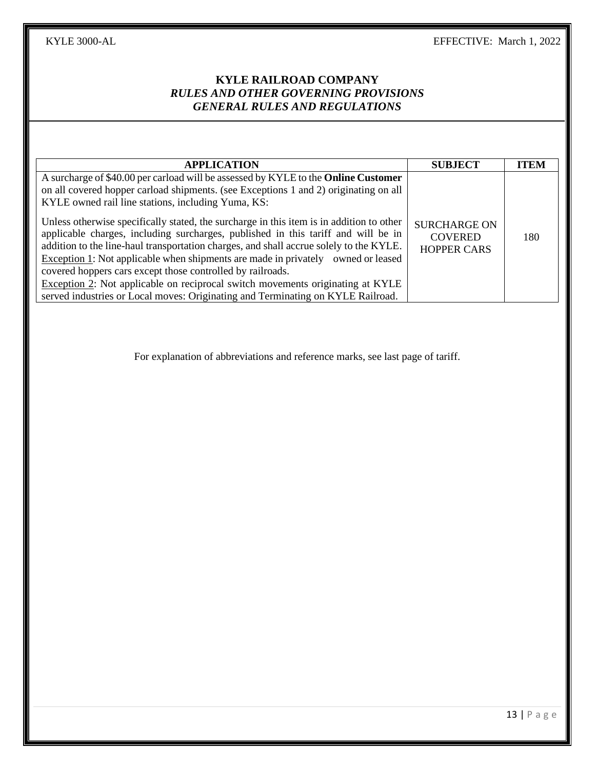| <b>APPLICATION</b>                                                                                                                                                                                                                                                                                                                                                                                                                                                                                                                                                                                                                                                                                                                                     | <b>SUBJECT</b>                                              | <b>ITEM</b> |
|--------------------------------------------------------------------------------------------------------------------------------------------------------------------------------------------------------------------------------------------------------------------------------------------------------------------------------------------------------------------------------------------------------------------------------------------------------------------------------------------------------------------------------------------------------------------------------------------------------------------------------------------------------------------------------------------------------------------------------------------------------|-------------------------------------------------------------|-------------|
| A surcharge of \$40.00 per carload will be assessed by KYLE to the <b>Online Customer</b><br>on all covered hopper carload shipments. (see Exceptions 1 and 2) originating on all<br>KYLE owned rail line stations, including Yuma, KS:<br>Unless otherwise specifically stated, the surcharge in this item is in addition to other<br>applicable charges, including surcharges, published in this tariff and will be in<br>addition to the line-haul transportation charges, and shall accrue solely to the KYLE.<br>Exception 1: Not applicable when shipments are made in privately owned or leased<br>covered hoppers cars except those controlled by railroads.<br>Exception 2: Not applicable on reciprocal switch movements originating at KYLE | <b>SURCHARGE ON</b><br><b>COVERED</b><br><b>HOPPER CARS</b> | 180         |
| served industries or Local moves: Originating and Terminating on KYLE Railroad.                                                                                                                                                                                                                                                                                                                                                                                                                                                                                                                                                                                                                                                                        |                                                             |             |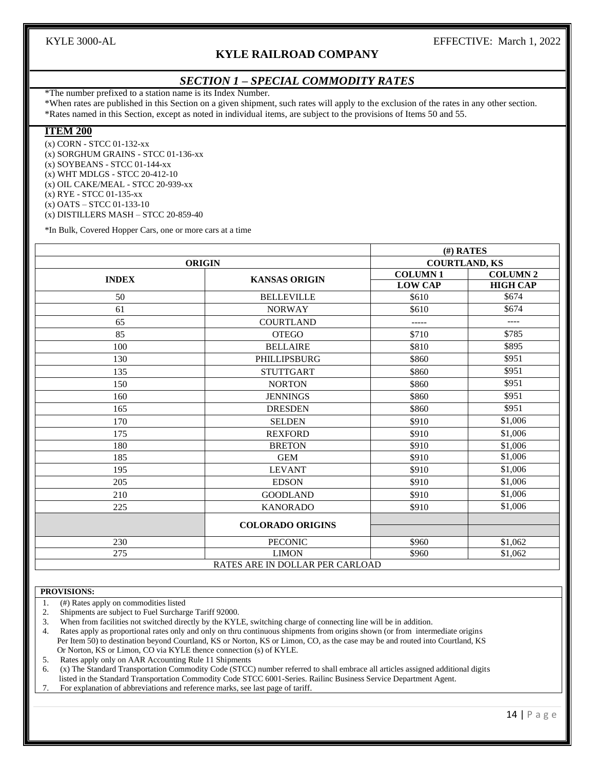### **KYLE RAILROAD COMPANY**

#### *SECTION 1 – SPECIAL COMMODITY RATES*

\*The number prefixed to a station name is its Index Number.

\*When rates are published in this Section on a given shipment, such rates will apply to the exclusion of the rates in any other section. \*Rates named in this Section, except as noted in individual items, are subject to the provisions of Items 50 and 55.

#### **ITEM 200**

(x) CORN - STCC 01-132-xx (x) SORGHUM GRAINS - STCC 01-136-xx (x) SOYBEANS - STCC 01-144-xx (x) WHT MDLGS - STCC 20-412-10 (x) OIL CAKE/MEAL - STCC 20-939-xx (x) RYE - STCC 01-135-xx (x) OATS – STCC 01-133-10 (x) DISTILLERS MASH – STCC 20-859-40

\*In Bulk, Covered Hopper Cars, one or more cars at a time

|              |                                 | $(H)$ RATES          |                 |  |  |  |
|--------------|---------------------------------|----------------------|-----------------|--|--|--|
|              | <b>ORIGIN</b>                   | <b>COURTLAND, KS</b> |                 |  |  |  |
| <b>INDEX</b> | <b>KANSAS ORIGIN</b>            | <b>COLUMN1</b>       | <b>COLUMN 2</b> |  |  |  |
|              |                                 | <b>LOW CAP</b>       | <b>HIGH CAP</b> |  |  |  |
| 50           | <b>BELLEVILLE</b>               | \$610                | \$674           |  |  |  |
| 61           | <b>NORWAY</b>                   | \$610                | \$674           |  |  |  |
| 65           | <b>COURTLAND</b>                | $- - - - -$          | $---$           |  |  |  |
| 85           | <b>OTEGO</b>                    | \$710                | \$785           |  |  |  |
| 100          | <b>BELLAIRE</b>                 | \$810                | \$895           |  |  |  |
| 130          | PHILLIPSBURG                    | \$860                | \$951           |  |  |  |
| 135          | <b>STUTTGART</b>                | \$860                | \$951           |  |  |  |
| 150          | <b>NORTON</b>                   | \$860                | \$951           |  |  |  |
| 160          | <b>JENNINGS</b>                 | \$860                | \$951           |  |  |  |
| 165          | <b>DRESDEN</b>                  | \$860                | \$951           |  |  |  |
| 170          | <b>SELDEN</b>                   | \$910                | \$1,006         |  |  |  |
| 175          | <b>REXFORD</b>                  | \$910                | \$1,006         |  |  |  |
| 180          | <b>BRETON</b>                   | \$910                | \$1,006         |  |  |  |
| 185          | <b>GEM</b>                      | \$910                | \$1,006         |  |  |  |
| 195          | <b>LEVANT</b>                   | \$910                | \$1,006         |  |  |  |
| 205          | <b>EDSON</b>                    | \$910                | \$1,006         |  |  |  |
| 210          | <b>GOODLAND</b>                 | \$910                | \$1,006         |  |  |  |
| 225          | <b>KANORADO</b>                 | \$910                | \$1,006         |  |  |  |
|              | <b>COLORADO ORIGINS</b>         |                      |                 |  |  |  |
|              |                                 |                      |                 |  |  |  |
| 230          | PECONIC                         | \$960                | \$1.062         |  |  |  |
| 275          | <b>LIMON</b>                    | \$960                | \$1,062         |  |  |  |
|              | RATES ARE IN DOLLAR PER CARLOAD |                      |                 |  |  |  |

#### **PROVISIONS:**

- 1. (#) Rates apply on commodities listed
- 2. Shipments are subject to Fuel Surcharge Tariff 92000.
- 3. When from facilities not switched directly by the KYLE, switching charge of connecting line will be in addition.

4. Rates apply as proportional rates only and only on thru continuous shipments from origins shown (or from intermediate origins Per Item 50) to destination beyond Courtland, KS or Norton, KS or Limon, CO, as the case may be and routed into Courtland, KS Or Norton, KS or Limon, CO via KYLE thence connection (s) of KYLE.

5. Rates apply only on AAR Accounting Rule 11 Shipments

6. (x) The Standard Transportation Commodity Code (STCC) number referred to shall embrace all articles assigned additional digits listed in the Standard Transportation Commodity Code STCC 6001-Series. Railinc Business Service Department Agent.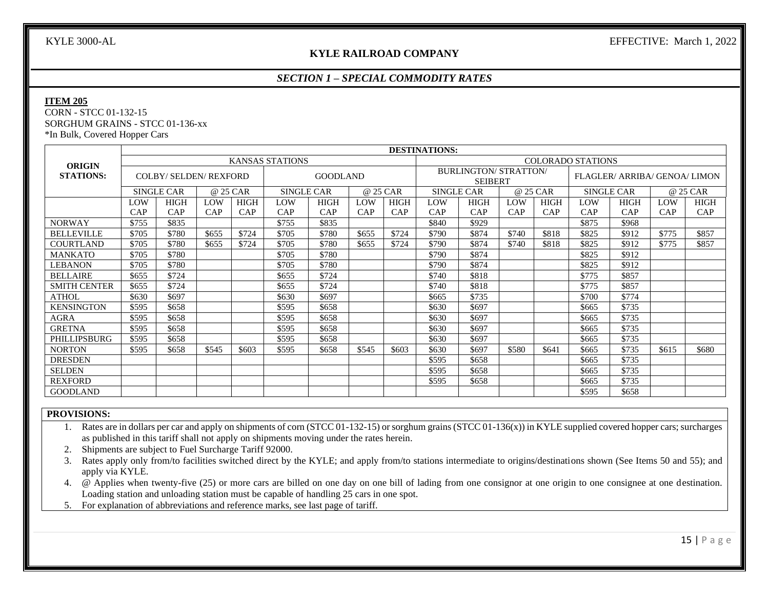#### **KYLE RAILROAD COMPANY**

### *SECTION 1 – SPECIAL COMMODITY RATES*

#### **ITEM 205**

CORN - STCC 01-132-15 SORGHUM GRAINS - STCC 01-136-xx \*In Bulk, Covered Hopper Cars

|                     | <b>DESTINATIONS:</b>                               |                             |          |             |                   |                 |          |             |                   |                                                |          |             |                   |                               |       |             |
|---------------------|----------------------------------------------------|-----------------------------|----------|-------------|-------------------|-----------------|----------|-------------|-------------------|------------------------------------------------|----------|-------------|-------------------|-------------------------------|-------|-------------|
| <b>ORIGIN</b>       | <b>KANSAS STATIONS</b><br><b>COLORADO STATIONS</b> |                             |          |             |                   |                 |          |             |                   |                                                |          |             |                   |                               |       |             |
| <b>STATIONS:</b>    |                                                    | <b>COLBY/SELDEN/REXFORD</b> |          |             |                   | <b>GOODLAND</b> |          |             |                   | <b>BURLINGTON/ STRATTON/</b><br><b>SEIBERT</b> |          |             |                   | FLAGLER/ ARRIBA/ GENOA/ LIMON |       |             |
|                     |                                                    | <b>SINGLE CAR</b>           | @ 25 CAR |             | <b>SINGLE CAR</b> |                 | @ 25 CAR |             | <b>SINGLE CAR</b> |                                                | @ 25 CAR |             | <b>SINGLE CAR</b> |                               |       | @ 25 CAR    |
|                     | LOW                                                | <b>HIGH</b>                 | LOW      | <b>HIGH</b> | LOW               | <b>HIGH</b>     | LOW      | <b>HIGH</b> | LOW               | <b>HIGH</b>                                    | LOW      | <b>HIGH</b> | LOW               | <b>HIGH</b>                   | LOW   | <b>HIGH</b> |
|                     | CAP                                                | CAP                         | CAP      | CAP         | CAP               | CAP             | CAP      | CAP         | CAP               | CAP                                            | CAP      | CAP         | CAP               | CAP                           | CAP   | CAP         |
| <b>NORWAY</b>       | \$755                                              | \$835                       |          |             | \$755             | \$835           |          |             | \$840             | \$929                                          |          |             | \$875             | \$968                         |       |             |
| <b>BELLEVILLE</b>   | \$705                                              | \$780                       | \$655    | \$724       | \$705             | \$780           | \$655    | \$724       | \$790             | \$874                                          | \$740    | \$818       | \$825             | \$912                         | \$775 | \$857       |
| <b>COURTLAND</b>    | \$705                                              | \$780                       | \$655    | \$724       | \$705             | \$780           | \$655    | \$724       | \$790             | \$874                                          | \$740    | \$818       | \$825             | \$912                         | \$775 | \$857       |
| <b>MANKATO</b>      | \$705                                              | \$780                       |          |             | \$705             | \$780           |          |             | \$790             | \$874                                          |          |             | \$825             | \$912                         |       |             |
| LEBANON             | \$705                                              | \$780                       |          |             | \$705             | \$780           |          |             | \$790             | \$874                                          |          |             | \$825             | \$912                         |       |             |
| <b>BELLAIRE</b>     | \$655                                              | \$724                       |          |             | \$655             | \$724           |          |             | \$740             | \$818                                          |          |             | \$775             | \$857                         |       |             |
| <b>SMITH CENTER</b> | \$655                                              | \$724                       |          |             | \$655             | \$724           |          |             | \$740             | \$818                                          |          |             | \$775             | \$857                         |       |             |
| <b>ATHOL</b>        | \$630                                              | \$697                       |          |             | \$630             | \$697           |          |             | \$665             | \$735                                          |          |             | \$700             | \$774                         |       |             |
| <b>KENSINGTON</b>   | \$595                                              | \$658                       |          |             | \$595             | \$658           |          |             | \$630             | \$697                                          |          |             | \$665             | \$735                         |       |             |
| <b>AGRA</b>         | \$595                                              | \$658                       |          |             | \$595             | \$658           |          |             | \$630             | \$697                                          |          |             | \$665             | \$735                         |       |             |
| <b>GRETNA</b>       | \$595                                              | \$658                       |          |             | \$595             | \$658           |          |             | \$630             | \$697                                          |          |             | \$665             | \$735                         |       |             |
| PHILLIPSBURG        | \$595                                              | \$658                       |          |             | \$595             | \$658           |          |             | \$630             | \$697                                          |          |             | \$665             | \$735                         |       |             |
| <b>NORTON</b>       | \$595                                              | \$658                       | \$545    | \$603       | \$595             | \$658           | \$545    | \$603       | \$630             | \$697                                          | \$580    | \$641       | \$665             | \$735                         | \$615 | \$680       |
| <b>DRESDEN</b>      |                                                    |                             |          |             |                   |                 |          |             | \$595             | \$658                                          |          |             | \$665             | \$735                         |       |             |
| <b>SELDEN</b>       |                                                    |                             |          |             |                   |                 |          |             | \$595             | \$658                                          |          |             | \$665             | \$735                         |       |             |
| <b>REXFORD</b>      |                                                    |                             |          |             |                   |                 |          |             | \$595             | \$658                                          |          |             | \$665             | \$735                         |       |             |
| <b>GOODLAND</b>     |                                                    |                             |          |             |                   |                 |          |             |                   |                                                |          |             | \$595             | \$658                         |       |             |

#### **PROVISIONS:**

1. Rates are in dollars per car and apply on shipments of corn (STCC 01-132-15) or sorghum grains (STCC 01-136(x)) in KYLE supplied covered hopper cars; surcharges as published in this tariff shall not apply on shipments moving under the rates herein.

2. Shipments are subject to Fuel Surcharge Tariff 92000.

3. Rates apply only from/to facilities switched direct by the KYLE; and apply from/to stations intermediate to origins/destinations shown (See Items 50 and 55); and apply via KYLE.

4. @ Applies when twenty-five (25) or more cars are billed on one day on one bill of lading from one consignor at one origin to one consignee at one destination. Loading station and unloading station must be capable of handling 25 cars in one spot.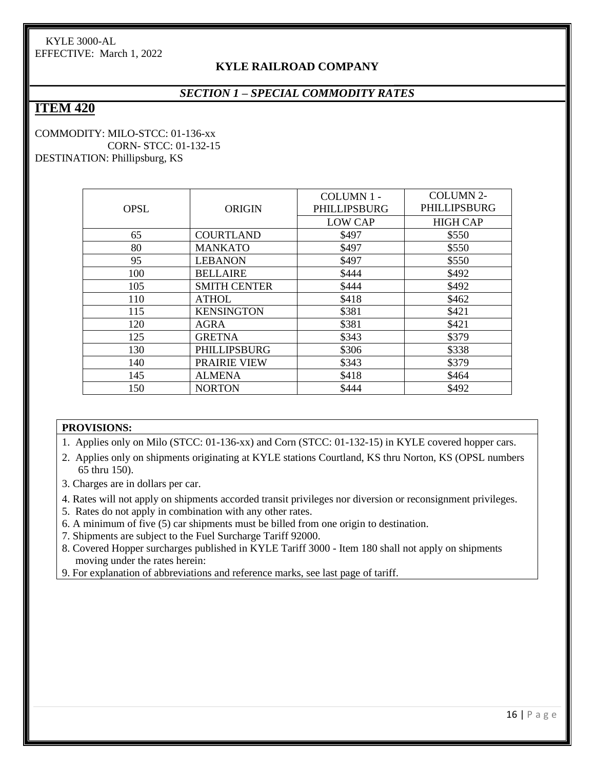# **KYLE RAILROAD COMPANY**

# *SECTION 1 – SPECIAL COMMODITY RATES*

# **ITEM 420**

#### COMMODITY: MILO-STCC: 01-136-xx CORN- STCC: 01-132-15 DESTINATION: Phillipsburg, KS

|             |                     | COLUMN 1 -     | <b>COLUMN 2-</b> |  |  |
|-------------|---------------------|----------------|------------------|--|--|
| <b>OPSL</b> | <b>ORIGIN</b>       | PHILLIPSBURG   | PHILLIPSBURG     |  |  |
|             |                     | <b>LOW CAP</b> | <b>HIGH CAP</b>  |  |  |
| 65          | <b>COURTLAND</b>    | \$497          | \$550            |  |  |
| 80          | <b>MANKATO</b>      | \$497          | \$550            |  |  |
| 95          | <b>LEBANON</b>      | \$497          | \$550            |  |  |
| 100         | <b>BELLAIRE</b>     | \$444          | \$492            |  |  |
| 105         | <b>SMITH CENTER</b> | \$444          | \$492            |  |  |
| 110         | <b>ATHOL</b>        | \$418          | \$462            |  |  |
| 115         | <b>KENSINGTON</b>   | \$381          | \$421            |  |  |
| 120         | AGRA                | \$381          | \$421            |  |  |
| 125         | <b>GRETNA</b>       | \$343          | \$379            |  |  |
| 130         | PHILLIPSBURG        | \$306          | \$338            |  |  |
| 140         | <b>PRAIRIE VIEW</b> | \$343          | \$379            |  |  |
| 145         | <b>ALMENA</b>       | \$418          | \$464            |  |  |
| 150         | <b>NORTON</b>       | \$444          | \$492            |  |  |

#### **PROVISIONS:**

1. Applies only on Milo (STCC: 01-136-xx) and Corn (STCC: 01-132-15) in KYLE covered hopper cars.

- 2. Applies only on shipments originating at KYLE stations Courtland, KS thru Norton, KS (OPSL numbers 65 thru 150).
- 3. Charges are in dollars per car.
- 4. Rates will not apply on shipments accorded transit privileges nor diversion or reconsignment privileges.
- 5. Rates do not apply in combination with any other rates.
- 6. A minimum of five (5) car shipments must be billed from one origin to destination.
- 7. Shipments are subject to the Fuel Surcharge Tariff 92000.
- 8. Covered Hopper surcharges published in KYLE Tariff 3000 Item 180 shall not apply on shipments moving under the rates herein:
- 9. For explanation of abbreviations and reference marks, see last page of tariff.